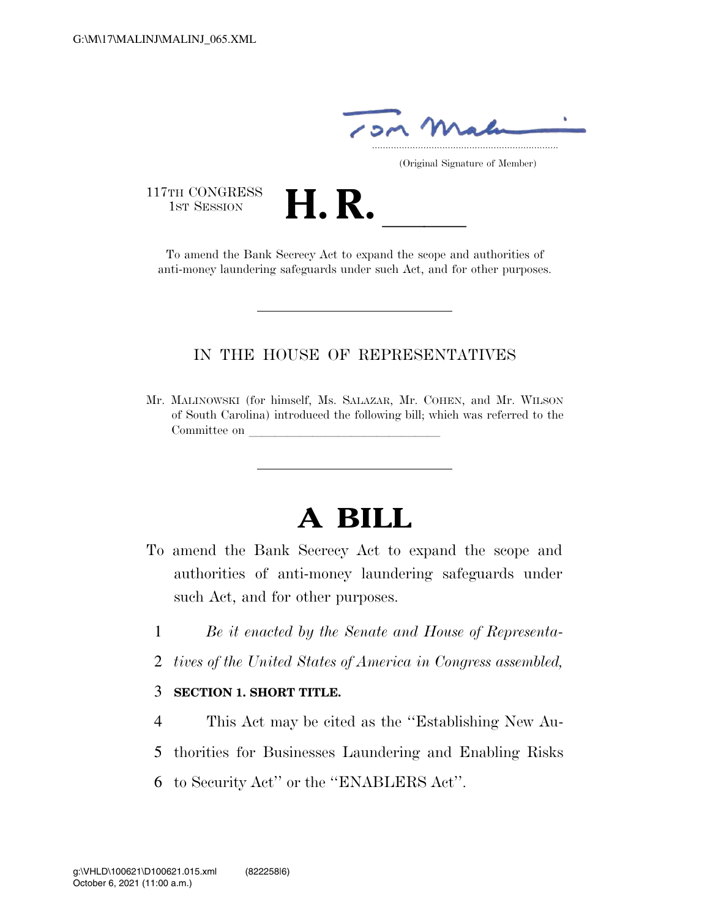

(Original Signature of Member)

117TH CONGRESS<br>1st Session

1ST SESSION **H. R.** ll To amend the Bank Secrecy Act to expand the scope and authorities of anti-money laundering safeguards under such Act, and for other purposes.

# IN THE HOUSE OF REPRESENTATIVES

Mr. MALINOWSKI (for himself, Ms. SALAZAR, Mr. COHEN, and Mr. WILSON of South Carolina) introduced the following bill; which was referred to the Committee on

# **A BILL**

- To amend the Bank Secrecy Act to expand the scope and authorities of anti-money laundering safeguards under such Act, and for other purposes.
	- 1 *Be it enacted by the Senate and House of Representa-*
	- 2 *tives of the United States of America in Congress assembled,*

#### 3 **SECTION 1. SHORT TITLE.**

- 4 This Act may be cited as the ''Establishing New Au-
- 5 thorities for Businesses Laundering and Enabling Risks
- 6 to Security Act'' or the ''ENABLERS Act''.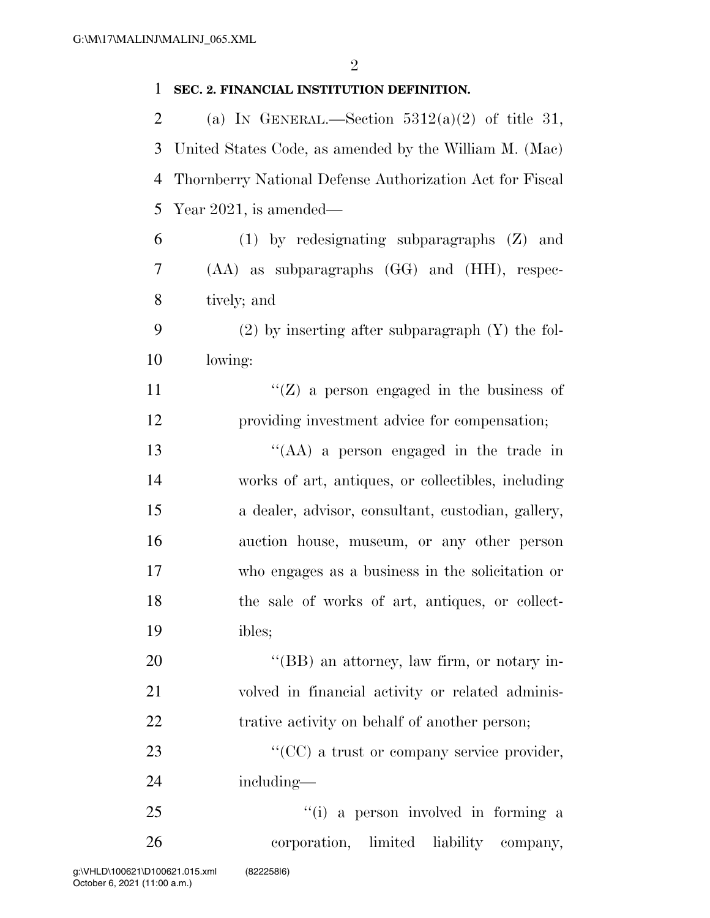| $\mathbf{1}$   | SEC. 2. FINANCIAL INSTITUTION DEFINITION.                |
|----------------|----------------------------------------------------------|
| $\overline{2}$ | (a) IN GENERAL.—Section $5312(a)(2)$ of title 31,        |
| 3              | United States Code, as amended by the William M. (Mac)   |
| $\overline{4}$ | Thornberry National Defense Authorization Act for Fiscal |
| 5              | Year 2021, is amended—                                   |
| 6              | $(1)$ by redesignating subparagraphs $(Z)$ and           |
| 7              | $(AA)$ as subparagraphs $(GG)$ and $(HH)$ , respec-      |
| 8              | tively; and                                              |
| 9              | $(2)$ by inserting after subparagraph $(Y)$ the fol-     |
| 10             | lowing:                                                  |
| 11             | "( $Z$ ) a person engaged in the business of             |
| 12             | providing investment advice for compensation;            |
| 13             | "(AA) a person engaged in the trade in                   |
| 14             | works of art, antiques, or collectibles, including       |
| 15             | a dealer, advisor, consultant, custodian, gallery,       |
| 16             | auction house, museum, or any other person               |
| 17             | who engages as a business in the solicitation or         |
| 18             | the sale of works of art, antiques, or collect-          |
| 19             | ibles;                                                   |
| 20             | "(BB) an attorney, law firm, or notary in-               |
| 21             | volved in financial activity or related adminis-         |
| 22             | trative activity on behalf of another person;            |
| 23             | "(CC) a trust or company service provider,               |
| 24             | including—                                               |
| 25             | "(i) a person involved in forming a                      |
| 26             | corporation, limited liability<br>company,               |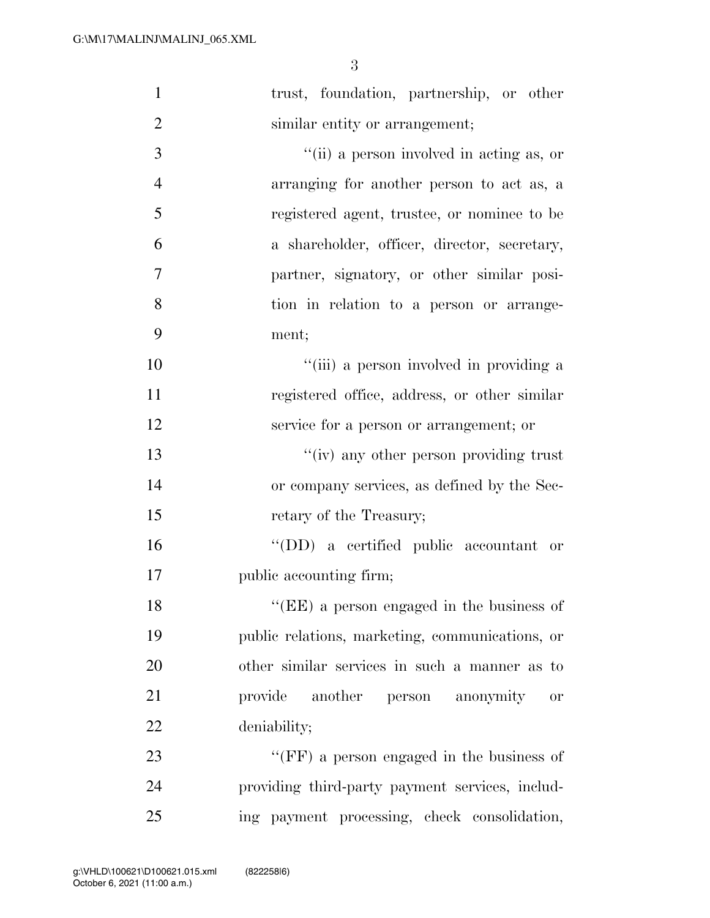| $\mathbf{1}$   | trust, foundation, partnership, or other        |
|----------------|-------------------------------------------------|
| $\overline{2}$ | similar entity or arrangement;                  |
| 3              | "(ii) a person involved in acting as, or        |
| $\overline{4}$ | arranging for another person to act as, a       |
| 5              | registered agent, trustee, or nominee to be     |
| 6              | a shareholder, officer, director, secretary,    |
| $\overline{7}$ | partner, signatory, or other similar posi-      |
| 8              | tion in relation to a person or arrange-        |
| 9              | ment;                                           |
| 10             | "(iii) a person involved in providing a         |
| 11             | registered office, address, or other similar    |
| 12             | service for a person or arrangement; or         |
| 13             | "(iv) any other person providing trust          |
| 14             | or company services, as defined by the Sec-     |
| 15             | retary of the Treasury;                         |
| 16             | "(DD) a certified public accountant or          |
| 17             | public accounting firm;                         |
| 18             | "(EE) a person engaged in the business of       |
| 19             | public relations, marketing, communications, or |
| 20             | other similar services in such a manner as to   |
| 21             | provide<br>another person anonymity<br>0r       |
| 22             | deniability;                                    |
| 23             | "(FF) a person engaged in the business of       |
| 24             | providing third-party payment services, includ- |
| 25             | ing payment processing, check consolidation,    |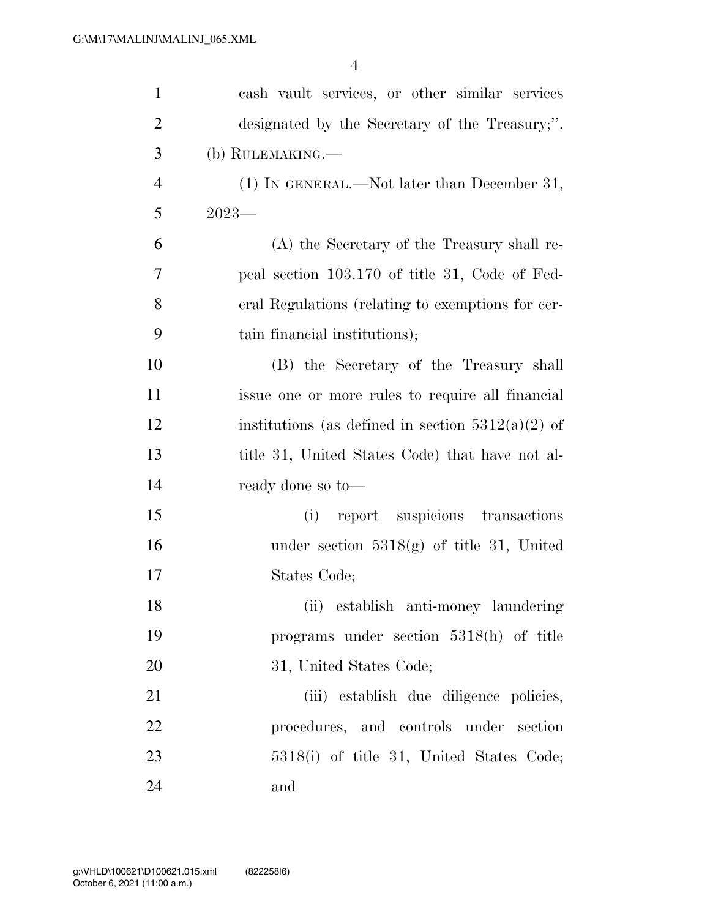| $\mathbf{1}$   | cash vault services, or other similar services      |
|----------------|-----------------------------------------------------|
| $\overline{2}$ | designated by the Secretary of the Treasury,".      |
| 3              | (b) RULEMAKING.—                                    |
| $\overline{4}$ | $(1)$ In GENERAL.—Not later than December 31,       |
| 5              | $2023-$                                             |
| 6              | (A) the Secretary of the Treasury shall re-         |
| 7              | peal section 103.170 of title 31, Code of Fed-      |
| 8              | eral Regulations (relating to exemptions for cer-   |
| 9              | tain financial institutions);                       |
| 10             | (B) the Secretary of the Treasury shall             |
| 11             | issue one or more rules to require all financial    |
| 12             | institutions (as defined in section $5312(a)(2)$ of |
| 13             | title 31, United States Code) that have not al-     |
| 14             | ready done so to-                                   |
| 15             | report suspicious transactions<br>(i)               |
| 16             | under section $5318(g)$ of title 31, United         |
| 17             | States Code;                                        |
| 18             | (ii) establish anti-money laundering                |
| 19             | programs under section $5318(h)$ of title           |
| 20             | 31, United States Code;                             |
| 21             | (iii) establish due diligence policies,             |
| 22             | procedures, and controls under section              |
| 23             | 5318(i) of title 31, United States Code;            |
| 24             | and                                                 |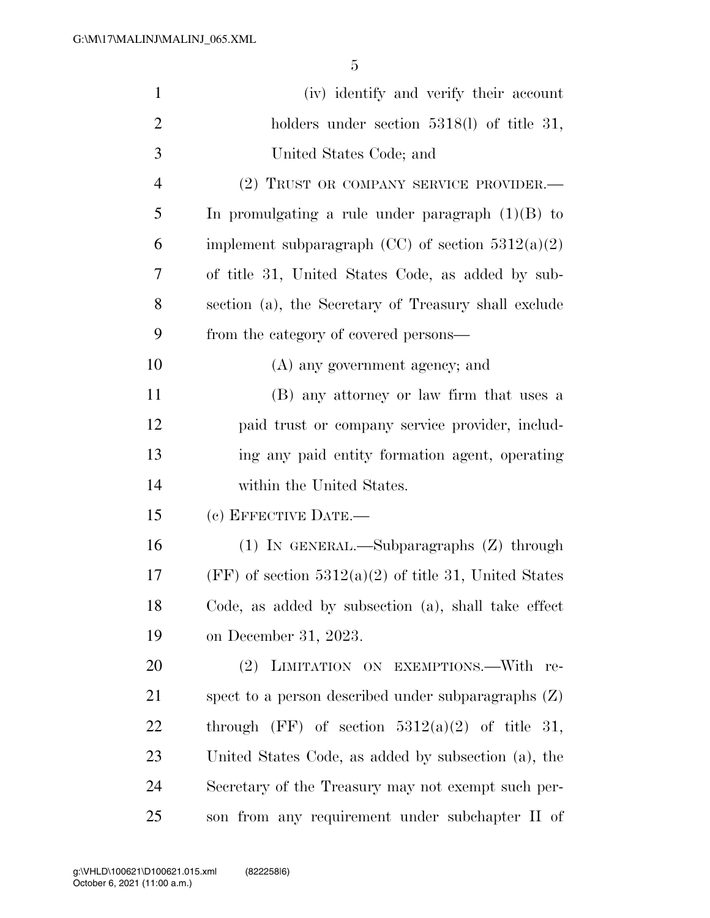| $\mathbf{1}$   | (iv) identify and verify their account                  |
|----------------|---------------------------------------------------------|
| $\overline{2}$ | holders under section $5318(1)$ of title 31,            |
| 3              | United States Code; and                                 |
| $\overline{4}$ | (2) TRUST OR COMPANY SERVICE PROVIDER.-                 |
| 5              | In promulgating a rule under paragraph $(1)(B)$ to      |
| 6              | implement subparagraph (CC) of section $5312(a)(2)$     |
| 7              | of title 31, United States Code, as added by sub-       |
| 8              | section (a), the Secretary of Treasury shall exclude    |
| 9              | from the category of covered persons—                   |
| 10             | (A) any government agency; and                          |
| 11             | (B) any attorney or law firm that uses a                |
| 12             | paid trust or company service provider, includ-         |
| 13             | ing any paid entity formation agent, operating          |
| 14             | within the United States.                               |
| 15             | (c) EFFECTIVE DATE.-                                    |
| 16             | $(1)$ IN GENERAL.—Subparagraphs $(Z)$ through           |
| 17             | $(FF)$ of section 5312(a)(2) of title 31, United States |
| 18             | Code, as added by subsection (a), shall take effect     |
| 19             | on December 31, 2023.                                   |
| 20             | LIMITATION ON EXEMPTIONS.-With re-<br>$(2)^{-}$         |
| 21             | spect to a person described under subparagraphs $(Z)$   |
| 22             | through (FF) of section $5312(a)(2)$ of title 31,       |
| 23             | United States Code, as added by subsection (a), the     |
| 24             | Secretary of the Treasury may not exempt such per-      |
| 25             | son from any requirement under subchapter II of         |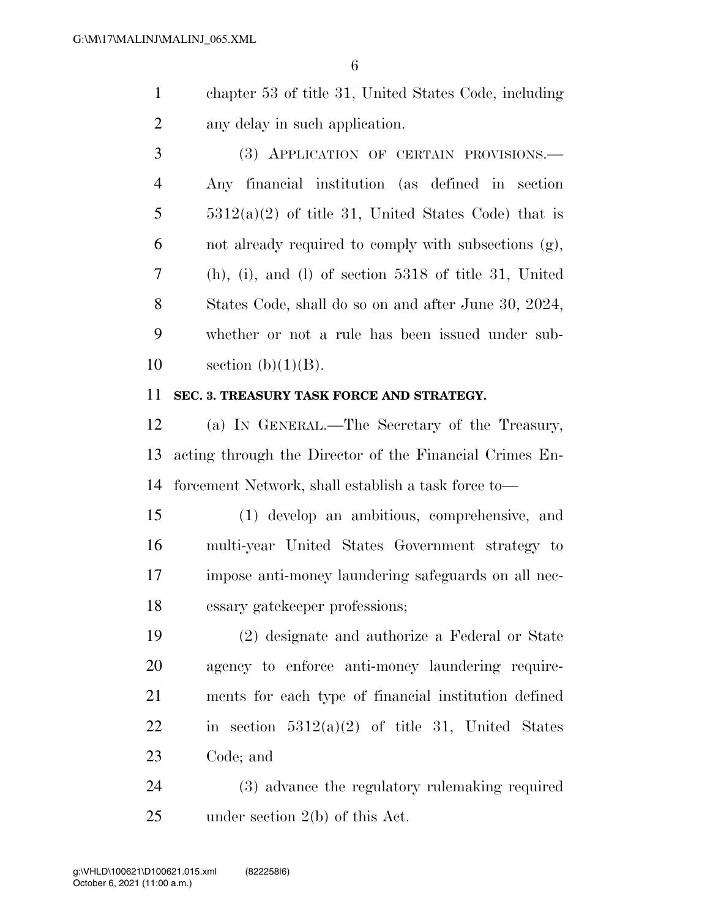chapter 53 of title 31, United States Code, including any delay in such application.

 (3) APPLICATION OF CERTAIN PROVISIONS.— Any financial institution (as defined in section  $5 \qquad \qquad 5312(a)(2)$  of title 31, United States Code) that is not already required to comply with subsections (g), (h), (i), and (l) of section 5318 of title 31, United States Code, shall do so on and after June 30, 2024, whether or not a rule has been issued under sub-10 section  $(b)(1)(B)$ .

### **SEC. 3. TREASURY TASK FORCE AND STRATEGY.**

 (a) IN GENERAL.—The Secretary of the Treasury, acting through the Director of the Financial Crimes En-forcement Network, shall establish a task force to—

 (1) develop an ambitious, comprehensive, and multi-year United States Government strategy to impose anti-money laundering safeguards on all nec-essary gatekeeper professions;

 (2) designate and authorize a Federal or State agency to enforce anti-money laundering require- ments for each type of financial institution defined 22 in section  $5312(a)(2)$  of title 31, United States Code; and

 (3) advance the regulatory rulemaking required under section 2(b) of this Act.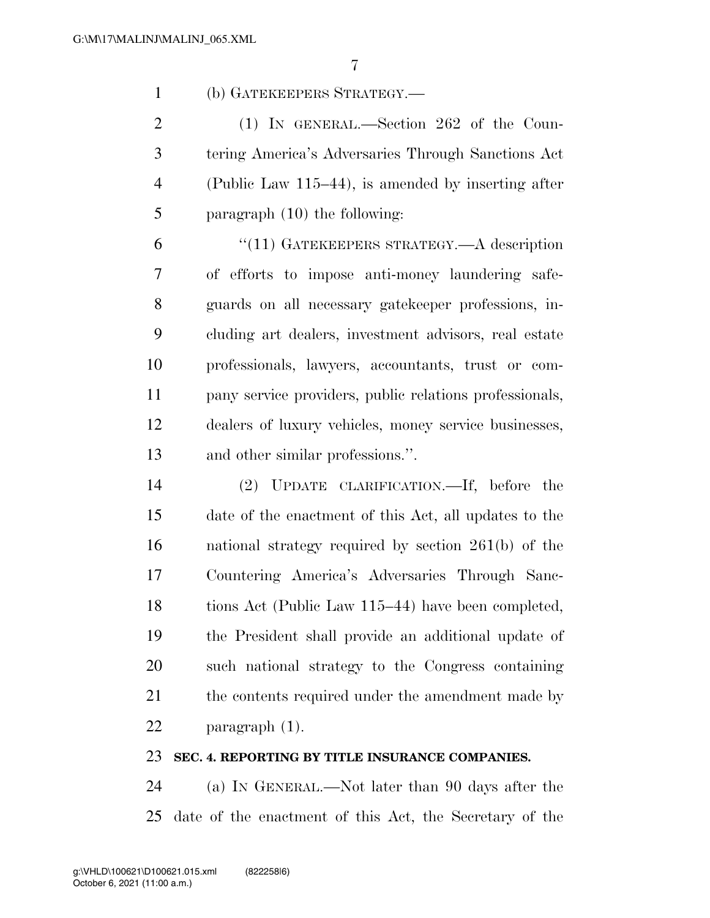(b) GATEKEEPERS STRATEGY.—

 (1) IN GENERAL.—Section 262 of the Coun- tering America's Adversaries Through Sanctions Act (Public Law 115–44), is amended by inserting after paragraph (10) the following:

 ''(11) GATEKEEPERS STRATEGY.—A description of efforts to impose anti-money laundering safe- guards on all necessary gatekeeper professions, in- cluding art dealers, investment advisors, real estate professionals, lawyers, accountants, trust or com- pany service providers, public relations professionals, dealers of luxury vehicles, money service businesses, and other similar professions.''.

 (2) UPDATE CLARIFICATION.—If, before the date of the enactment of this Act, all updates to the national strategy required by section 261(b) of the Countering America's Adversaries Through Sanc-18 tions Act (Public Law 115–44) have been completed, the President shall provide an additional update of such national strategy to the Congress containing 21 the contents required under the amendment made by paragraph (1).

## **SEC. 4. REPORTING BY TITLE INSURANCE COMPANIES.**

 (a) IN GENERAL.—Not later than 90 days after the date of the enactment of this Act, the Secretary of the